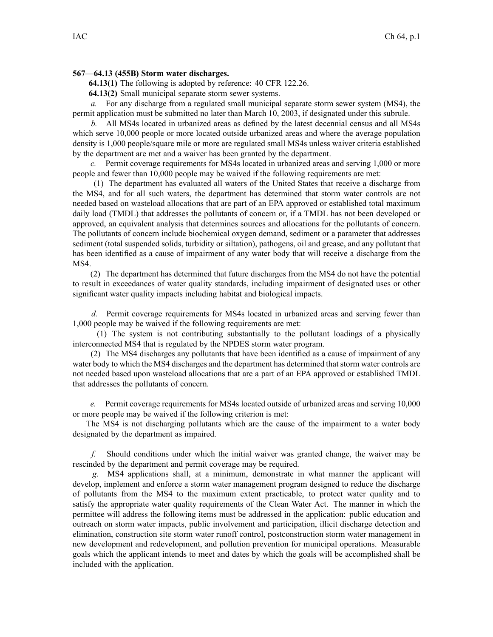## **567—64.13 (455B) Storm water discharges.**

**64.13(1)** The following is adopted by reference: 40 CFR 122.26.

**64.13(2)** Small municipal separate storm sewer systems.

*a.* For any discharge from <sup>a</sup> regulated small municipal separate storm sewer system (MS4), the permit application must be submitted no later than March 10, 2003, if designated under this subrule.

*b.* All MS4s located in urbanized areas as defined by the latest decennial census and all MS4s which serve 10,000 people or more located outside urbanized areas and where the average population density is 1,000 people/square mile or more are regulated small MS4s unless waiver criteria established by the department are met and <sup>a</sup> waiver has been granted by the department.

*c.* Permit coverage requirements for MS4s located in urbanized areas and serving 1,000 or more people and fewer than 10,000 people may be waived if the following requirements are met:

(1) The department has evaluated all waters of the United States that receive <sup>a</sup> discharge from the MS4, and for all such waters, the department has determined that storm water controls are not needed based on wasteload allocations that are par<sup>t</sup> of an EPA approved or established total maximum daily load (TMDL) that addresses the pollutants of concern or, if <sup>a</sup> TMDL has not been developed or approved, an equivalent analysis that determines sources and allocations for the pollutants of concern. The pollutants of concern include biochemical oxygen demand, sediment or <sup>a</sup> parameter that addresses sediment (total suspended solids, turbidity or siltation), pathogens, oil and grease, and any pollutant that has been identified as <sup>a</sup> cause of impairment of any water body that will receive <sup>a</sup> discharge from the MS4.

(2) The department has determined that future discharges from the MS4 do not have the potential to result in exceedances of water quality standards, including impairment of designated uses or other significant water quality impacts including habitat and biological impacts.

*d.* Permit coverage requirements for MS4s located in urbanized areas and serving fewer than 1,000 people may be waived if the following requirements are met:

(1) The system is not contributing substantially to the pollutant loadings of <sup>a</sup> physically interconnected MS4 that is regulated by the NPDES storm water program.

(2) The MS4 discharges any pollutants that have been identified as <sup>a</sup> cause of impairment of any water body to which the MS4 discharges and the department has determined that storm water controls are not needed based upon wasteload allocations that are <sup>a</sup> par<sup>t</sup> of an EPA approved or established TMDL that addresses the pollutants of concern.

*e.* Permit coverage requirements for MS4s located outside of urbanized areas and serving 10,000 or more people may be waived if the following criterion is met:

The MS4 is not discharging pollutants which are the cause of the impairment to <sup>a</sup> water body designated by the department as impaired.

*f.* Should conditions under which the initial waiver was granted change, the waiver may be rescinded by the department and permit coverage may be required.

*g.* MS4 applications shall, at <sup>a</sup> minimum, demonstrate in what manner the applicant will develop, implement and enforce <sup>a</sup> storm water managemen<sup>t</sup> program designed to reduce the discharge of pollutants from the MS4 to the maximum extent practicable, to protect water quality and to satisfy the appropriate water quality requirements of the Clean Water Act. The manner in which the permittee will address the following items must be addressed in the application: public education and outreach on storm water impacts, public involvement and participation, illicit discharge detection and elimination, construction site storm water runoff control, postconstruction storm water managemen<sup>t</sup> in new development and redevelopment, and pollution prevention for municipal operations. Measurable goals which the applicant intends to meet and dates by which the goals will be accomplished shall be included with the application.